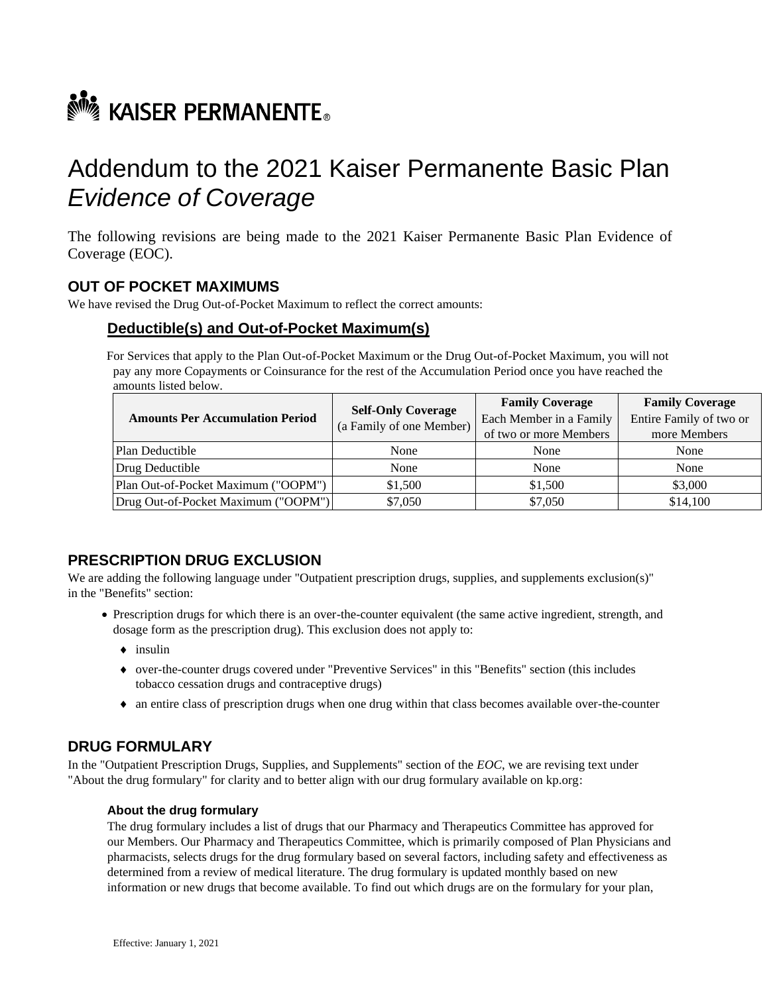

# Addendum to the 2021 Kaiser Permanente Basic Plan *Evidence of Coverage*

The following revisions are being made to the 2021 Kaiser Permanente Basic Plan Evidence of Coverage (EOC).

## **OUT OF POCKET MAXIMUMS**

We have revised the Drug Out-of-Pocket Maximum to reflect the correct amounts:

#### **Deductible(s) and Out-of-Pocket Maximum(s)**

For Services that apply to the Plan Out-of-Pocket Maximum or the Drug Out-of-Pocket Maximum, you will not pay any more Copayments or Coinsurance for the rest of the Accumulation Period once you have reached the amounts listed below.

| <b>Amounts Per Accumulation Period</b> | <b>Self-Only Coverage</b><br>(a Family of one Member) | <b>Family Coverage</b>  | <b>Family Coverage</b>  |
|----------------------------------------|-------------------------------------------------------|-------------------------|-------------------------|
|                                        |                                                       | Each Member in a Family | Entire Family of two or |
|                                        |                                                       | of two or more Members  | more Members            |
| Plan Deductible                        | None                                                  | None                    | None                    |
| Drug Deductible                        | None                                                  | None                    | None                    |
| Plan Out-of-Pocket Maximum ("OOPM")    | \$1,500                                               | \$1,500                 | \$3,000                 |
| Drug Out-of-Pocket Maximum ("OOPM")    | \$7,050                                               | \$7,050                 | \$14,100                |

## **PRESCRIPTION DRUG EXCLUSION**

We are adding the following language under "Outpatient prescription drugs, supplies, and supplements exclusion(s)" in the "Benefits" section:

- Prescription drugs for which there is an over-the-counter equivalent (the same active ingredient, strength, and dosage form as the prescription drug). This exclusion does not apply to:
	- $\bullet$  insulin
	- over-the-counter drugs covered under "Preventive Services" in this "Benefits" section (this includes tobacco cessation drugs and contraceptive drugs)
	- an entire class of prescription drugs when one drug within that class becomes available over-the-counter

#### **DRUG FORMULARY**

In the "Outpatient Prescription Drugs, Supplies, and Supplements" section of the *EOC*, we are revising text under "About the drug formulary" for clarity and to better align with our drug formulary available on kp.org:

#### **About the drug formulary**

The drug formulary includes a list of drugs that our Pharmacy and Therapeutics Committee has approved for our Members. Our Pharmacy and Therapeutics Committee, which is primarily composed of Plan Physicians and pharmacists, selects drugs for the drug formulary based on several factors, including safety and effectiveness as determined from a review of medical literature. The drug formulary is updated monthly based on new information or new drugs that become available. To find out which drugs are on the formulary for your plan,